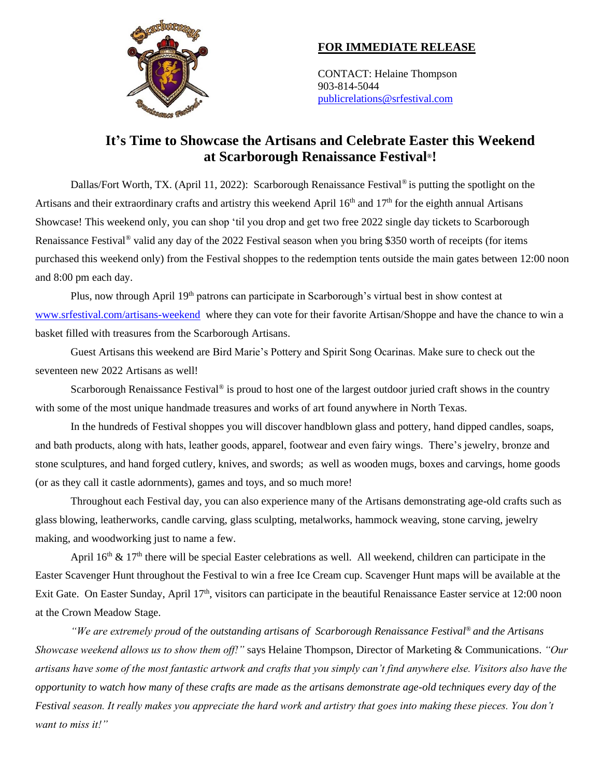

## **FOR IMMEDIATE RELEASE**

CONTACT: Helaine Thompson 903-814-5044 [publicrelations@srfestival.com](mailto:publicrelations@srfestival.com)

## **It's Time to Showcase the Artisans and Celebrate Easter this Weekend at Scarborough Renaissance Festival®!**

Dallas/Fort Worth, TX. (April 11, 2022): Scarborough Renaissance Festival® is putting the spotlight on the Artisans and their extraordinary crafts and artistry this weekend April  $16<sup>th</sup>$  and  $17<sup>th</sup>$  for the eighth annual Artisans Showcase! This weekend only, you can shop 'til you drop and get two free 2022 single day tickets to Scarborough Renaissance Festival® valid any day of the 2022 Festival season when you bring \$350 worth of receipts (for items purchased this weekend only) from the Festival shoppes to the redemption tents outside the main gates between 12:00 noon and 8:00 pm each day.

Plus, now through April 19<sup>th</sup> patrons can participate in Scarborough's virtual best in show contest at [www.srfestival.com/artisans-weekend](http://www.srfestival.com/artisans-weekend/) where they can vote for their favorite Artisan/Shoppe and have the chance to win a basket filled with treasures from the Scarborough Artisans.

Guest Artisans this weekend are Bird Marie's Pottery and Spirit Song Ocarinas. Make sure to check out the seventeen new 2022 Artisans as well!

Scarborough Renaissance Festival® is proud to host one of the largest outdoor juried craft shows in the country with some of the most unique handmade treasures and works of art found anywhere in North Texas.

In the hundreds of Festival shoppes you will discover handblown glass and pottery, hand dipped candles, soaps, and bath products, along with hats, leather goods, apparel, footwear and even fairy wings. There's jewelry, bronze and stone sculptures, and hand forged cutlery, knives, and swords; as well as wooden mugs, boxes and carvings, home goods (or as they call it castle adornments), games and toys, and so much more!

Throughout each Festival day, you can also experience many of the Artisans demonstrating age-old crafts such as glass blowing, leatherworks, candle carving, glass sculpting, metalworks, hammock weaving, stone carving, jewelry making, and woodworking just to name a few.

April  $16<sup>th</sup>$  &  $17<sup>th</sup>$  there will be special Easter celebrations as well. All weekend, children can participate in the Easter Scavenger Hunt throughout the Festival to win a free Ice Cream cup. Scavenger Hunt maps will be available at the Exit Gate. On Easter Sunday, April 17<sup>th</sup>, visitors can participate in the beautiful Renaissance Easter service at 12:00 noon at the Crown Meadow Stage.

*"We are extremely proud of the outstanding artisans of Scarborough Renaissance Festival*® *and the Artisans Showcase weekend allows us to show them off!"* says Helaine Thompson, Director of Marketing & Communications. *"Our artisans have some of the most fantastic artwork and crafts that you simply can't find anywhere else. Visitors also have the opportunity to watch how many of these crafts are made as the artisans demonstrate age-old techniques every day of the Festival season. It really makes you appreciate the hard work and artistry that goes into making these pieces. You don't want to miss it!"*